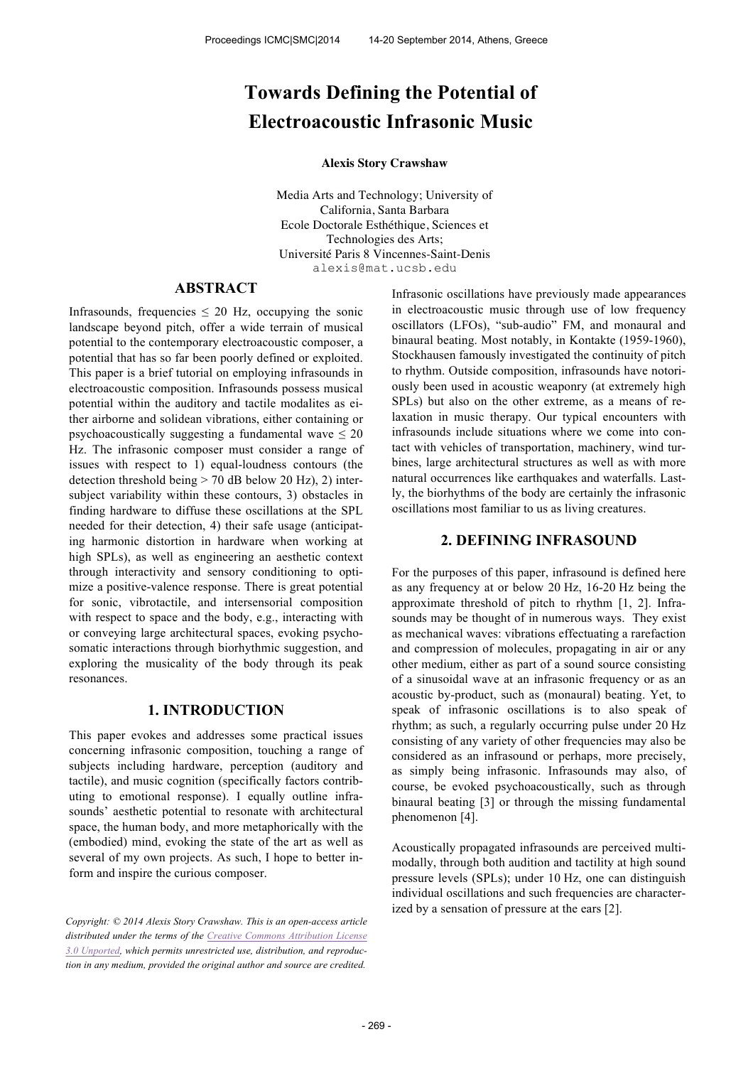# **Towards Defining the Potential of Electroacoustic Infrasonic Music**

#### **Alexis Story Crawshaw**

Media Arts and Technology; University of California, Santa Barbara Ecole Doctorale Esthéthique, Sciences et Technologies des Arts; Université Paris 8 Vincennes-Saint-Denis alexis@mat.ucsb.edu

# **ABSTRACT**

Infrasounds, frequencies  $\leq 20$  Hz, occupying the sonic landscape beyond pitch, offer a wide terrain of musical potential to the contemporary electroacoustic composer, a potential that has so far been poorly defined or exploited. This paper is a brief tutorial on employing infrasounds in electroacoustic composition. Infrasounds possess musical potential within the auditory and tactile modalites as either airborne and solidean vibrations, either containing or psychoacoustically suggesting a fundamental wave  $\leq 20$ Hz. The infrasonic composer must consider a range of issues with respect to 1) equal-loudness contours (the detection threshold being  $>$  70 dB below 20 Hz), 2) intersubject variability within these contours, 3) obstacles in finding hardware to diffuse these oscillations at the SPL needed for their detection, 4) their safe usage (anticipating harmonic distortion in hardware when working at high SPLs), as well as engineering an aesthetic context through interactivity and sensory conditioning to optimize a positive-valence response. There is great potential for sonic, vibrotactile, and intersensorial composition with respect to space and the body, e.g., interacting with or conveying large architectural spaces, evoking psychosomatic interactions through biorhythmic suggestion, and exploring the musicality of the body through its peak resonances.

## **1. INTRODUCTION**

This paper evokes and addresses some practical issues concerning infrasonic composition, touching a range of subjects including hardware, perception (auditory and tactile), and music cognition (specifically factors contributing to emotional response). I equally outline infrasounds' aesthetic potential to resonate with architectural space, the human body, and more metaphorically with the (embodied) mind, evoking the state of the art as well as several of my own projects. As such, I hope to better inform and inspire the curious composer.

*Copyright: © 2014 Alexis Story Crawshaw. This is an open-access article distributed under the terms of the Creative Commons Attribution License 3.0 Unported, which permits unrestricted use, distribution, and reproduction in any medium, provided the original author and source are credited.*

Infrasonic oscillations have previously made appearances in electroacoustic music through use of low frequency oscillators (LFOs), "sub-audio" FM, and monaural and binaural beating. Most notably, in Kontakte (1959-1960), Stockhausen famously investigated the continuity of pitch to rhythm. Outside composition, infrasounds have notoriously been used in acoustic weaponry (at extremely high SPLs) but also on the other extreme, as a means of relaxation in music therapy. Our typical encounters with infrasounds include situations where we come into contact with vehicles of transportation, machinery, wind turbines, large architectural structures as well as with more natural occurrences like earthquakes and waterfalls. Lastly, the biorhythms of the body are certainly the infrasonic oscillations most familiar to us as living creatures.

## **2. DEFINING INFRASOUND**

For the purposes of this paper, infrasound is defined here as any frequency at or below 20 Hz, 16-20 Hz being the approximate threshold of pitch to rhythm [1, 2]. Infrasounds may be thought of in numerous ways. They exist as mechanical waves: vibrations effectuating a rarefaction and compression of molecules, propagating in air or any other medium, either as part of a sound source consisting of a sinusoidal wave at an infrasonic frequency or as an acoustic by-product, such as (monaural) beating. Yet, to speak of infrasonic oscillations is to also speak of rhythm; as such, a regularly occurring pulse under 20 Hz consisting of any variety of other frequencies may also be considered as an infrasound or perhaps, more precisely, as simply being infrasonic. Infrasounds may also, of course, be evoked psychoacoustically, such as through binaural beating [3] or through the missing fundamental phenomenon [4].

Acoustically propagated infrasounds are perceived multimodally, through both audition and tactility at high sound pressure levels (SPLs); under 10 Hz, one can distinguish individual oscillations and such frequencies are characterized by a sensation of pressure at the ears [2].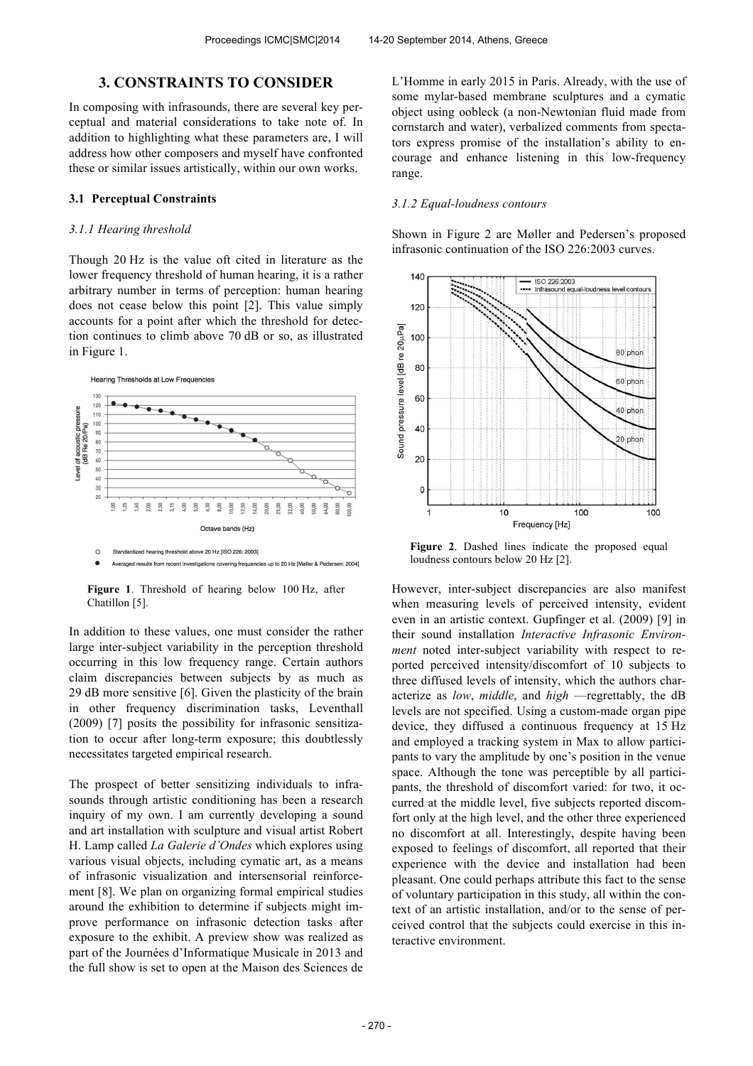## **3. CONSTRAINTS TO CONSIDER**

In composing with infrasounds, there are several key perceptual and material considerations to take note of. In addition to highlighting what these parameters are, I will address how other composers and myself have confronted these or similar issues artistically, within our own works.

#### **3.1 Perceptual Constraints**

## *3.1.1 Hearing threshold*

Though 20 Hz is the value oft cited in literature as the lower frequency threshold of human hearing, it is a rather arbitrary number in terms of perception: human hearing does not cease below this point [2]. This value simply accounts for a point after which the threshold for detection continues to climb above 70 dB or so, as illustrated in Figure 1.



**Figure 1**. Threshold of hearing below 100 Hz, after Chatillon [5].

In addition to these values, one must consider the rather large inter-subject variability in the perception threshold occurring in this low frequency range. Certain authors claim discrepancies between subjects by as much as 29 dB more sensitive [6]. Given the plasticity of the brain in other frequency discrimination tasks, Leventhall (2009) [7] posits the possibility for infrasonic sensitization to occur after long-term exposure; this doubtlessly necessitates targeted empirical research.

The prospect of better sensitizing individuals to infrasounds through artistic conditioning has been a research inquiry of my own. I am currently developing a sound and art installation with sculpture and visual artist Robert H. Lamp called *La Galerie d'Ondes* which explores using various visual objects, including cymatic art, as a means of infrasonic visualization and intersensorial reinforcement [8]. We plan on organizing formal empirical studies around the exhibition to determine if subjects might improve performance on infrasonic detection tasks after exposure to the exhibit. A preview show was realized as part of the Journées d'Informatique Musicale in 2013 and the full show is set to open at the Maison des Sciences de L'Homme in early 2015 in Paris. Already, with the use of some mylar-based membrane sculptures and a cymatic object using oobleck (a non-Newtonian fluid made from cornstarch and water), verbalized comments from spectators express promise of the installation's ability to encourage and enhance listening in this low-frequency range.

## *3.1.2 Equal-loudness contours*

Shown in Figure 2 are Møller and Pedersen's proposed infrasonic continuation of the ISO 226:2003 curves.



**Figure 2**. Dashed lines indicate the proposed equal loudness contours below 20 Hz [2].

However, inter-subject discrepancies are also manifest when measuring levels of perceived intensity, evident even in an artistic context. Gupfinger et al. (2009) [9] in their sound installation *Interactive Infrasonic Environment* noted inter-subject variability with respect to reported perceived intensity/discomfort of 10 subjects to three diffused levels of intensity, which the authors characterize as *low*, *middle*, and *high* —regrettably, the dB levels are not specified. Using a custom-made organ pipe device, they diffused a continuous frequency at 15 Hz and employed a tracking system in Max to allow participants to vary the amplitude by one's position in the venue space. Although the tone was perceptible by all participants, the threshold of discomfort varied: for two, it occurred at the middle level, five subjects reported discomfort only at the high level, and the other three experienced no discomfort at all. Interestingly, despite having been exposed to feelings of discomfort, all reported that their experience with the device and installation had been pleasant. One could perhaps attribute this fact to the sense of voluntary participation in this study, all within the context of an artistic installation, and/or to the sense of perceived control that the subjects could exercise in this interactive environment.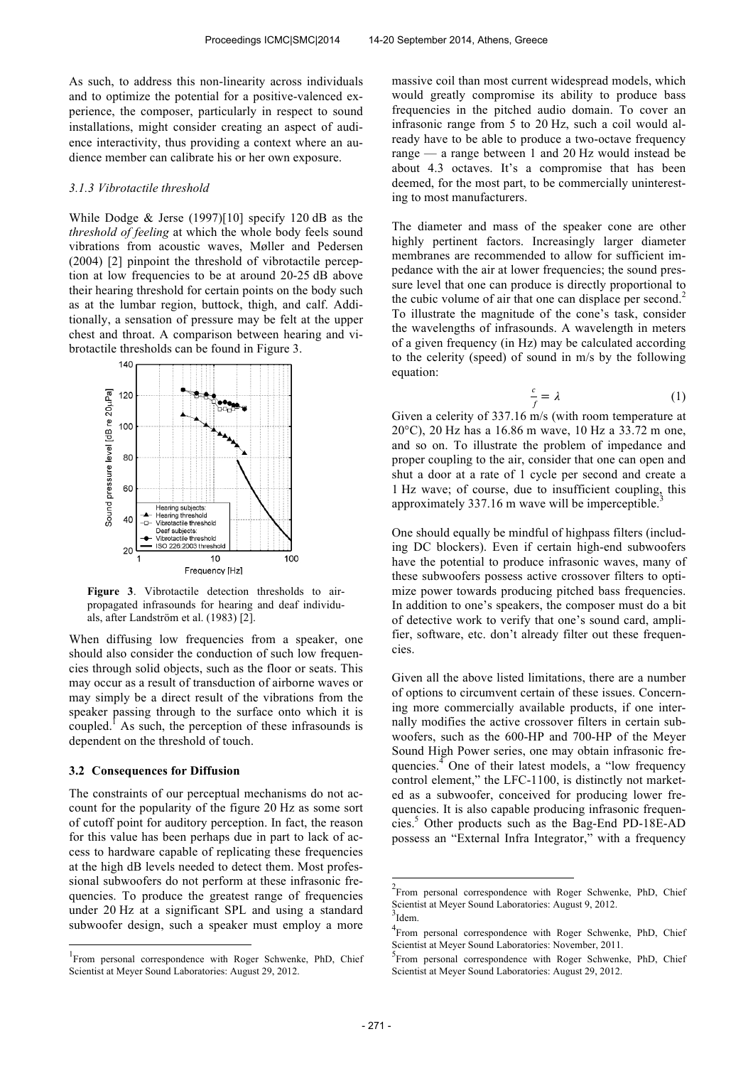As such, to address this non-linearity across individuals and to optimize the potential for a positive-valenced experience, the composer, particularly in respect to sound installations, might consider creating an aspect of audience interactivity, thus providing a context where an audience member can calibrate his or her own exposure.

#### *3.1.3 Vibrotactile threshold*

While Dodge  $&$  Jerse (1997)[10] specify 120 dB as the *threshold of feeling* at which the whole body feels sound vibrations from acoustic waves, Møller and Pedersen (2004) [2] pinpoint the threshold of vibrotactile perception at low frequencies to be at around 20-25 dB above their hearing threshold for certain points on the body such as at the lumbar region, buttock, thigh, and calf. Additionally, a sensation of pressure may be felt at the upper chest and throat. A comparison between hearing and vibrotactile thresholds can be found in Figure 3.



**Figure 3**. Vibrotactile detection thresholds to airpropagated infrasounds for hearing and deaf individuals, after Landström et al. (1983) [2].

When diffusing low frequencies from a speaker, one should also consider the conduction of such low frequencies through solid objects, such as the floor or seats. This may occur as a result of transduction of airborne waves or may simply be a direct result of the vibrations from the speaker passing through to the surface onto which it is coupled.<sup>1</sup> As such, the perception of these infrasounds is dependent on the threshold of touch.

#### **3.2 Consequences for Diffusion**

 $\overline{a}$ 

The constraints of our perceptual mechanisms do not account for the popularity of the figure 20 Hz as some sort of cutoff point for auditory perception. In fact, the reason for this value has been perhaps due in part to lack of access to hardware capable of replicating these frequencies at the high dB levels needed to detect them. Most professional subwoofers do not perform at these infrasonic frequencies. To produce the greatest range of frequencies under 20 Hz at a significant SPL and using a standard subwoofer design, such a speaker must employ a more

massive coil than most current widespread models, which would greatly compromise its ability to produce bass frequencies in the pitched audio domain. To cover an infrasonic range from 5 to 20 Hz, such a coil would already have to be able to produce a two-octave frequency range — a range between 1 and 20 Hz would instead be about 4.3 octaves. It's a compromise that has been deemed, for the most part, to be commercially uninteresting to most manufacturers.

The diameter and mass of the speaker cone are other highly pertinent factors. Increasingly larger diameter membranes are recommended to allow for sufficient impedance with the air at lower frequencies; the sound pressure level that one can produce is directly proportional to the cubic volume of air that one can displace per second.<sup>2</sup> To illustrate the magnitude of the cone's task, consider the wavelengths of infrasounds. A wavelength in meters of a given frequency (in Hz) may be calculated according to the celerity (speed) of sound in m/s by the following equation:

$$
\frac{c}{f} = \lambda \tag{1}
$$

Given a celerity of 337.16 m/s (with room temperature at 20°C), 20 Hz has a 16.86 m wave, 10 Hz a 33.72 m one, and so on. To illustrate the problem of impedance and proper coupling to the air, consider that one can open and shut a door at a rate of 1 cycle per second and create a 1 Hz wave; of course, due to insufficient coupling, this approximately 337.16 m wave will be imperceptible.<sup>3</sup>

One should equally be mindful of highpass filters (including DC blockers). Even if certain high-end subwoofers have the potential to produce infrasonic waves, many of these subwoofers possess active crossover filters to optimize power towards producing pitched bass frequencies. In addition to one's speakers, the composer must do a bit of detective work to verify that one's sound card, amplifier, software, etc. don't already filter out these frequencies.

Given all the above listed limitations, there are a number of options to circumvent certain of these issues. Concerning more commercially available products, if one internally modifies the active crossover filters in certain subwoofers, such as the 600-HP and 700-HP of the Meyer Sound High Power series, one may obtain infrasonic frequencies.<sup>4</sup> One of their latest models, a "low frequency control element," the LFC-1100, is distinctly not marketed as a subwoofer, conceived for producing lower frequencies. It is also capable producing infrasonic frequencies.<sup>5</sup> Other products such as the Bag-End PD-18E-AD possess an "External Infra Integrator," with a frequency

j

<sup>1</sup> From personal correspondence with Roger Schwenke, PhD, Chief Scientist at Meyer Sound Laboratories: August 29, 2012.

<sup>&</sup>lt;sup>2</sup> From personal correspondence with Roger Schwenke, PhD, Chief Scientist at Meyer Sound Laboratories: August 9, 2012.  $3$ Idem.

<sup>&</sup>lt;sup>4</sup> From personal correspondence with Roger Schwenke, PhD, Chief Scientist at Meyer Sound Laboratories: November, 2011.

<sup>&</sup>lt;sup>5</sup>From personal correspondence with Roger Schwenke, PhD, Chief Scientist at Meyer Sound Laboratories: August 29, 2012.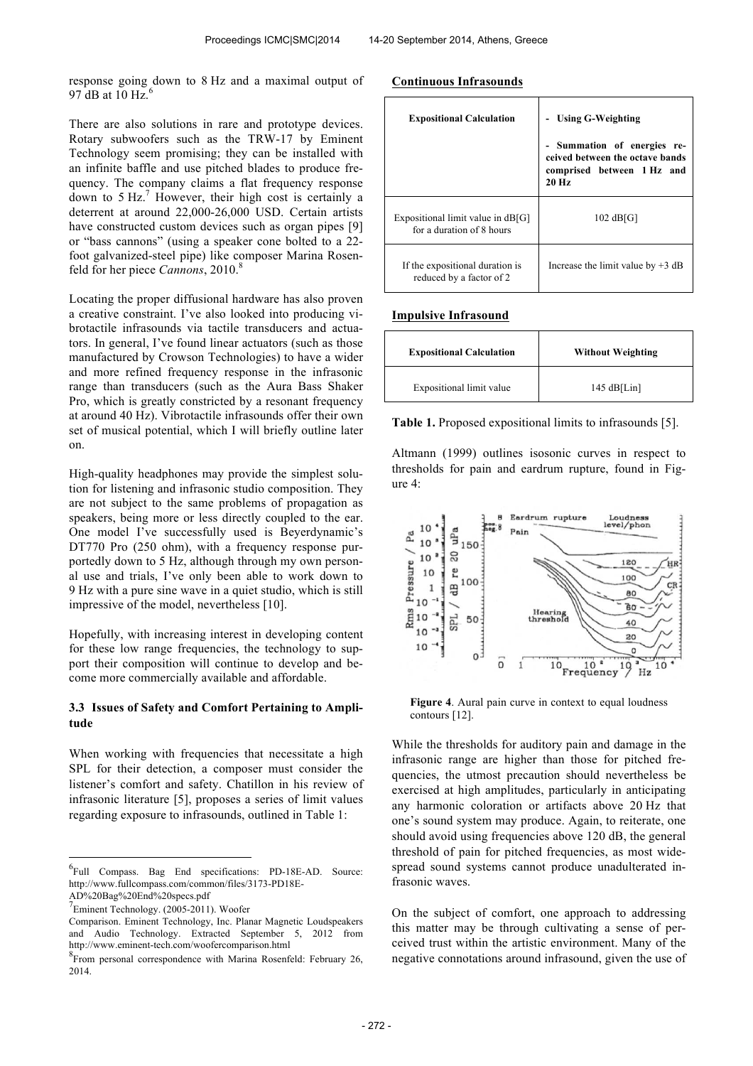response going down to 8 Hz and a maximal output of 97 dB at 10 Hz. $<sup>6</sup>$ </sup>

There are also solutions in rare and prototype devices. Rotary subwoofers such as the TRW-17 by Eminent Technology seem promising; they can be installed with an infinite baffle and use pitched blades to produce frequency. The company claims a flat frequency response down to  $5 Hz<sup>7</sup>$  However, their high cost is certainly a deterrent at around 22,000-26,000 USD. Certain artists have constructed custom devices such as organ pipes [9] or "bass cannons" (using a speaker cone bolted to a 22 foot galvanized-steel pipe) like composer Marina Rosenfeld for her piece *Cannons*, 2010. 8

Locating the proper diffusional hardware has also proven a creative constraint. I've also looked into producing vibrotactile infrasounds via tactile transducers and actuators. In general, I've found linear actuators (such as those manufactured by Crowson Technologies) to have a wider and more refined frequency response in the infrasonic range than transducers (such as the Aura Bass Shaker Pro, which is greatly constricted by a resonant frequency at around 40 Hz). Vibrotactile infrasounds offer their own set of musical potential, which I will briefly outline later on.

High-quality headphones may provide the simplest solution for listening and infrasonic studio composition. They are not subject to the same problems of propagation as speakers, being more or less directly coupled to the ear. One model I've successfully used is Beyerdynamic's DT770 Pro (250 ohm), with a frequency response purportedly down to 5 Hz, although through my own personal use and trials, I've only been able to work down to 9 Hz with a pure sine wave in a quiet studio, which is still impressive of the model, nevertheless [10].

Hopefully, with increasing interest in developing content for these low range frequencies, the technology to support their composition will continue to develop and become more commercially available and affordable.

## **3.3 Issues of Safety and Comfort Pertaining to Amplitude**

When working with frequencies that necessitate a high SPL for their detection, a composer must consider the listener's comfort and safety. Chatillon in his review of infrasonic literature [5], proposes a series of limit values regarding exposure to infrasounds, outlined in Table 1:

 $\overline{a}$ 

## **Continuous Infrasounds**

| <b>Expositional Calculation</b>                                  | <b>Using G-Weighting</b><br>- Summation of energies<br>re-<br>ceived between the octave bands<br>comprised between 1 Hz and<br>$20$ Hz |
|------------------------------------------------------------------|----------------------------------------------------------------------------------------------------------------------------------------|
| Expositional limit value in $dB[G]$<br>for a duration of 8 hours | $102$ dB[G]                                                                                                                            |
| If the expositional duration is<br>reduced by a factor of 2      | Increase the limit value by $+3$ dB                                                                                                    |

## **Impulsive Infrasound**

| <b>Expositional Calculation</b> | <b>Without Weighting</b> |
|---------------------------------|--------------------------|
| Expositional limit value        | 145 $dB[Lin]$            |

**Table 1.** Proposed expositional limits to infrasounds [5].

Altmann (1999) outlines isosonic curves in respect to thresholds for pain and eardrum rupture, found in Figure 4:



**Figure 4**. Aural pain curve in context to equal loudness contours [12].

While the thresholds for auditory pain and damage in the infrasonic range are higher than those for pitched frequencies, the utmost precaution should nevertheless be exercised at high amplitudes, particularly in anticipating any harmonic coloration or artifacts above 20 Hz that one's sound system may produce. Again, to reiterate, one should avoid using frequencies above 120 dB, the general threshold of pain for pitched frequencies, as most widespread sound systems cannot produce unadulterated infrasonic waves.

On the subject of comfort, one approach to addressing this matter may be through cultivating a sense of perceived trust within the artistic environment. Many of the negative connotations around infrasound, given the use of

<sup>&</sup>lt;sup>6</sup>Full Compass. Bag End specifications: PD-18E-AD. Source: http://www.fullcompass.com/common/files/3173-PD18E-AD%20Bag%20End%20specs.pdf

<sup>7</sup> Eminent Technology. (2005-2011). Woofer

Comparison. Eminent Technology, Inc. Planar Magnetic Loudspeakers and Audio Technology. Extracted September 5, 2012 from http://www.eminent-tech.com/woofercomparison.html

<sup>&</sup>lt;sup>8</sup> From personal correspondence with Marina Rosenfeld: February 26, 2014.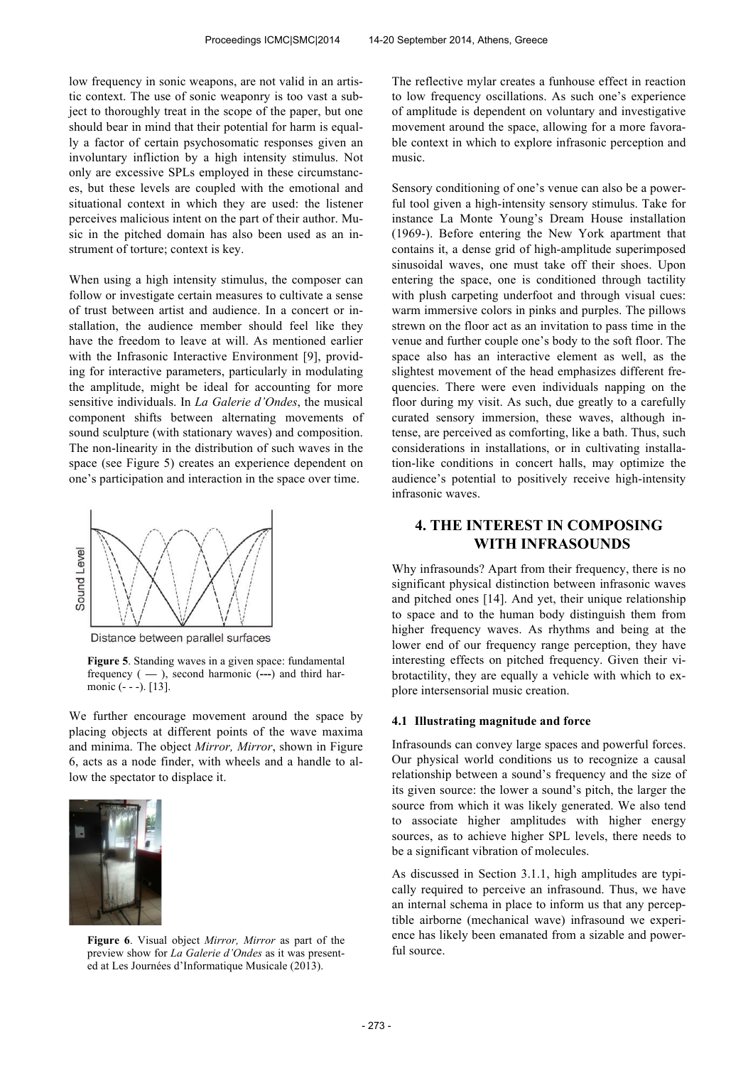low frequency in sonic weapons, are not valid in an artistic context. The use of sonic weaponry is too vast a subject to thoroughly treat in the scope of the paper, but one should bear in mind that their potential for harm is equally a factor of certain psychosomatic responses given an involuntary infliction by a high intensity stimulus. Not only are excessive SPLs employed in these circumstances, but these levels are coupled with the emotional and situational context in which they are used: the listener perceives malicious intent on the part of their author. Music in the pitched domain has also been used as an instrument of torture; context is key.

When using a high intensity stimulus, the composer can follow or investigate certain measures to cultivate a sense of trust between artist and audience. In a concert or installation, the audience member should feel like they have the freedom to leave at will. As mentioned earlier with the Infrasonic Interactive Environment [9], providing for interactive parameters, particularly in modulating the amplitude, might be ideal for accounting for more sensitive individuals. In *La Galerie d'Ondes*, the musical component shifts between alternating movements of sound sculpture (with stationary waves) and composition. The non-linearity in the distribution of such waves in the space (see Figure 5) creates an experience dependent on one's participation and interaction in the space over time.



Distance between parallel surfaces

**Figure 5**. Standing waves in a given space: fundamental frequency ( **—** ), second harmonic (**---**) and third harmonic (- - -). [13].

We further encourage movement around the space by placing objects at different points of the wave maxima and minima. The object *Mirror, Mirror*, shown in Figure 6, acts as a node finder, with wheels and a handle to allow the spectator to displace it.



**Figure 6**. Visual object *Mirror, Mirror* as part of the preview show for *La Galerie d'Ondes* as it was presented at Les Journées d'Informatique Musicale (2013).

The reflective mylar creates a funhouse effect in reaction to low frequency oscillations. As such one's experience of amplitude is dependent on voluntary and investigative movement around the space, allowing for a more favorable context in which to explore infrasonic perception and music.

Sensory conditioning of one's venue can also be a powerful tool given a high-intensity sensory stimulus. Take for instance La Monte Young's Dream House installation (1969-). Before entering the New York apartment that contains it, a dense grid of high-amplitude superimposed sinusoidal waves, one must take off their shoes. Upon entering the space, one is conditioned through tactility with plush carpeting underfoot and through visual cues: warm immersive colors in pinks and purples. The pillows strewn on the floor act as an invitation to pass time in the venue and further couple one's body to the soft floor. The space also has an interactive element as well, as the slightest movement of the head emphasizes different frequencies. There were even individuals napping on the floor during my visit. As such, due greatly to a carefully curated sensory immersion, these waves, although intense, are perceived as comforting, like a bath. Thus, such considerations in installations, or in cultivating installation-like conditions in concert halls, may optimize the audience's potential to positively receive high-intensity infrasonic waves.

# **4. THE INTEREST IN COMPOSING WITH INFRASOUNDS**

Why infrasounds? Apart from their frequency, there is no significant physical distinction between infrasonic waves and pitched ones [14]. And yet, their unique relationship to space and to the human body distinguish them from higher frequency waves. As rhythms and being at the lower end of our frequency range perception, they have interesting effects on pitched frequency. Given their vibrotactility, they are equally a vehicle with which to explore intersensorial music creation.

#### **4.1 Illustrating magnitude and force**

Infrasounds can convey large spaces and powerful forces. Our physical world conditions us to recognize a causal relationship between a sound's frequency and the size of its given source: the lower a sound's pitch, the larger the source from which it was likely generated. We also tend to associate higher amplitudes with higher energy sources, as to achieve higher SPL levels, there needs to be a significant vibration of molecules.

As discussed in Section 3.1.1, high amplitudes are typically required to perceive an infrasound. Thus, we have an internal schema in place to inform us that any perceptible airborne (mechanical wave) infrasound we experience has likely been emanated from a sizable and powerful source.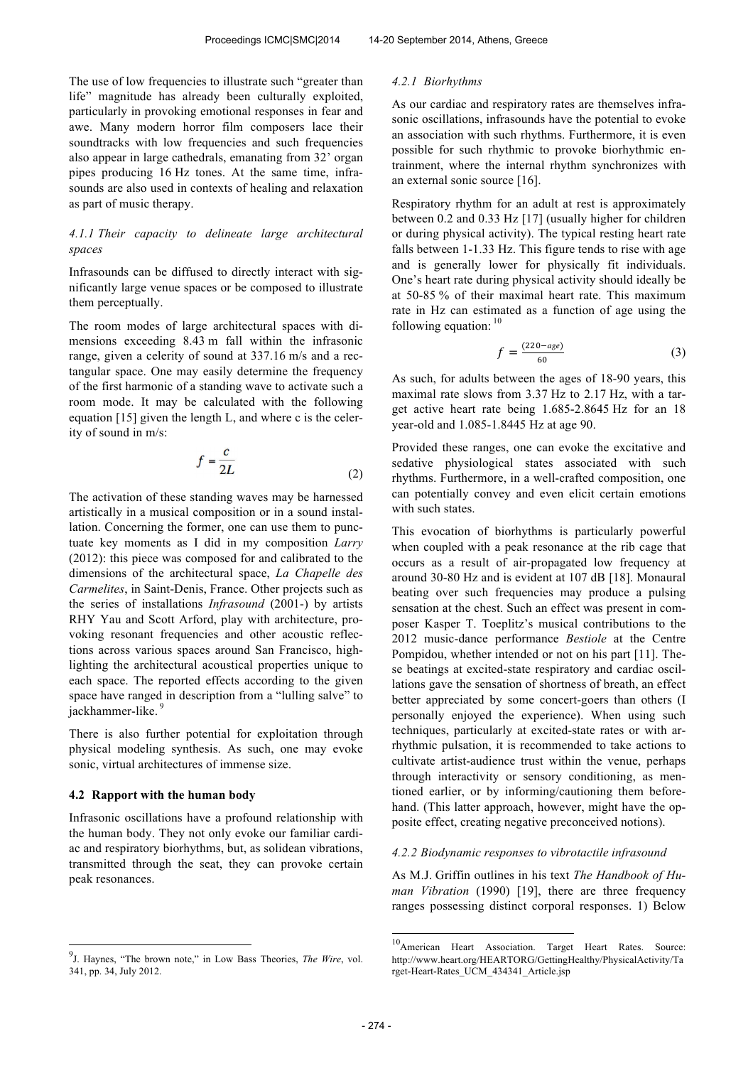The use of low frequencies to illustrate such "greater than life" magnitude has already been culturally exploited, particularly in provoking emotional responses in fear and awe. Many modern horror film composers lace their soundtracks with low frequencies and such frequencies also appear in large cathedrals, emanating from 32' organ pipes producing 16 Hz tones. At the same time, infrasounds are also used in contexts of healing and relaxation as part of music therapy.

## *4.1.1 Their capacity to delineate large architectural spaces*

Infrasounds can be diffused to directly interact with significantly large venue spaces or be composed to illustrate them perceptually.

The room modes of large architectural spaces with dimensions exceeding 8.43 m fall within the infrasonic range, given a celerity of sound at 337.16 m/s and a rectangular space. One may easily determine the frequency of the first harmonic of a standing wave to activate such a room mode. It may be calculated with the following equation [15] given the length L, and where c is the celerity of sound in m/s:

$$
f = \frac{c}{2L} \tag{2}
$$

The activation of these standing waves may be harnessed artistically in a musical composition or in a sound installation. Concerning the former, one can use them to punctuate key moments as I did in my composition *Larry* (2012): this piece was composed for and calibrated to the dimensions of the architectural space, *La Chapelle des Carmelites*, in Saint-Denis, France. Other projects such as the series of installations *Infrasound* (2001-) by artists RHY Yau and Scott Arford, play with architecture, provoking resonant frequencies and other acoustic reflections across various spaces around San Francisco, highlighting the architectural acoustical properties unique to each space. The reported effects according to the given space have ranged in description from a "lulling salve" to jackhammer-like.<sup>9</sup>

There is also further potential for exploitation through physical modeling synthesis. As such, one may evoke sonic, virtual architectures of immense size.

## **4.2 Rapport with the human body**

 $\overline{a}$ 

Infrasonic oscillations have a profound relationship with the human body. They not only evoke our familiar cardiac and respiratory biorhythms, but, as solidean vibrations, transmitted through the seat, they can provoke certain peak resonances.

#### *4.2.1 Biorhythms*

As our cardiac and respiratory rates are themselves infrasonic oscillations, infrasounds have the potential to evoke an association with such rhythms. Furthermore, it is even possible for such rhythmic to provoke biorhythmic entrainment, where the internal rhythm synchronizes with an external sonic source [16].

Respiratory rhythm for an adult at rest is approximately between 0.2 and 0.33 Hz [17] (usually higher for children or during physical activity). The typical resting heart rate falls between 1-1.33 Hz. This figure tends to rise with age and is generally lower for physically fit individuals. One's heart rate during physical activity should ideally be at 50-85 % of their maximal heart rate. This maximum rate in Hz can estimated as a function of age using the following equation:  $10$ 

$$
f = \frac{(220 - age)}{60} \tag{3}
$$

As such, for adults between the ages of 18-90 years, this maximal rate slows from 3.37 Hz to 2.17 Hz, with a target active heart rate being 1.685-2.8645 Hz for an 18 year-old and 1.085-1.8445 Hz at age 90.

Provided these ranges, one can evoke the excitative and sedative physiological states associated with such rhythms. Furthermore, in a well-crafted composition, one can potentially convey and even elicit certain emotions with such states

This evocation of biorhythms is particularly powerful when coupled with a peak resonance at the rib cage that occurs as a result of air-propagated low frequency at around 30-80 Hz and is evident at 107 dB [18]. Monaural beating over such frequencies may produce a pulsing sensation at the chest. Such an effect was present in composer Kasper T. Toeplitz's musical contributions to the 2012 music-dance performance *Bestiole* at the Centre Pompidou, whether intended or not on his part [11]. These beatings at excited-state respiratory and cardiac oscillations gave the sensation of shortness of breath, an effect better appreciated by some concert-goers than others (I personally enjoyed the experience). When using such techniques, particularly at excited-state rates or with arrhythmic pulsation, it is recommended to take actions to cultivate artist-audience trust within the venue, perhaps through interactivity or sensory conditioning, as mentioned earlier, or by informing/cautioning them beforehand. (This latter approach, however, might have the opposite effect, creating negative preconceived notions).

## *4.2.2 Biodynamic responses to vibrotactile infrasound*

As M.J. Griffin outlines in his text *The Handbook of Human Vibration* (1990) [19], there are three frequency ranges possessing distinct corporal responses. 1) Below

-

<sup>9</sup> J. Haynes, "The brown note," in Low Bass Theories, *The Wire*, vol. 341, pp. 34, July 2012.

<sup>&</sup>lt;sup>10</sup>American Heart Association. Target Heart Rates. Source: http://www.heart.org/HEARTORG/GettingHealthy/PhysicalActivity/Ta rget-Heart-Rates\_UCM\_434341\_Article.jsp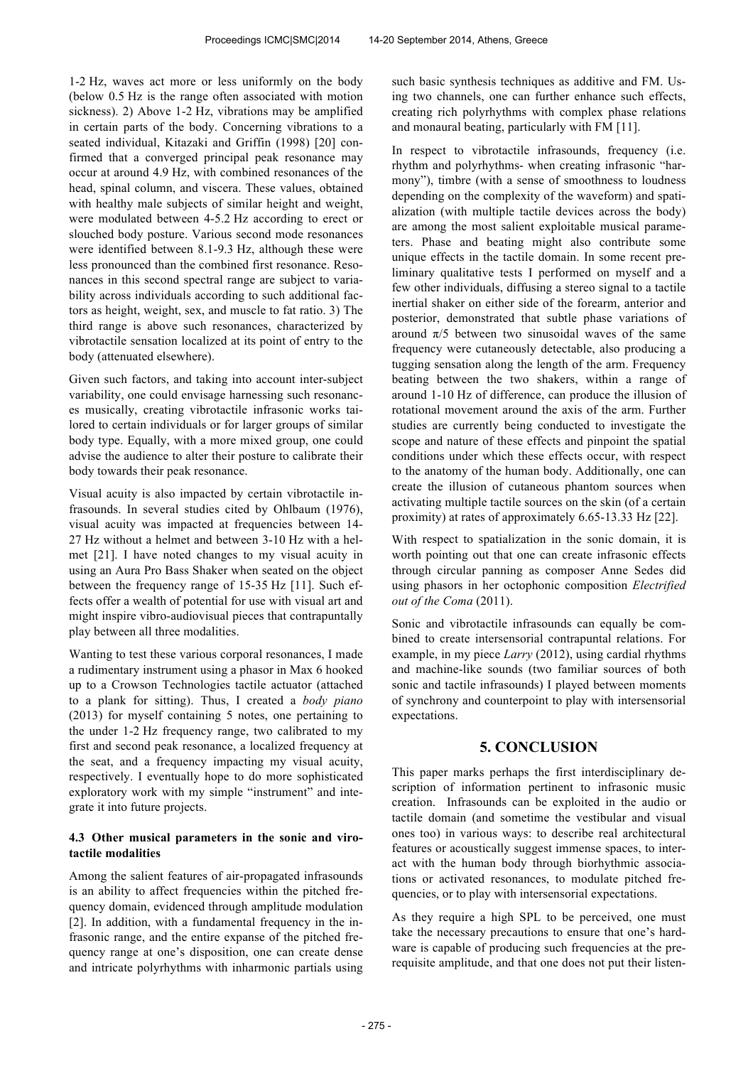1-2 Hz, waves act more or less uniformly on the body (below 0.5 Hz is the range often associated with motion sickness). 2) Above 1-2 Hz, vibrations may be amplified in certain parts of the body. Concerning vibrations to a seated individual, Kitazaki and Griffin (1998) [20] confirmed that a converged principal peak resonance may occur at around 4.9 Hz, with combined resonances of the head, spinal column, and viscera. These values, obtained with healthy male subjects of similar height and weight, were modulated between 4-5.2 Hz according to erect or slouched body posture. Various second mode resonances were identified between 8.1-9.3 Hz, although these were less pronounced than the combined first resonance. Resonances in this second spectral range are subject to variability across individuals according to such additional factors as height, weight, sex, and muscle to fat ratio. 3) The third range is above such resonances, characterized by vibrotactile sensation localized at its point of entry to the body (attenuated elsewhere).

Given such factors, and taking into account inter-subject variability, one could envisage harnessing such resonances musically, creating vibrotactile infrasonic works tailored to certain individuals or for larger groups of similar body type. Equally, with a more mixed group, one could advise the audience to alter their posture to calibrate their body towards their peak resonance.

Visual acuity is also impacted by certain vibrotactile infrasounds. In several studies cited by Ohlbaum (1976), visual acuity was impacted at frequencies between 14- 27 Hz without a helmet and between 3-10 Hz with a helmet [21]. I have noted changes to my visual acuity in using an Aura Pro Bass Shaker when seated on the object between the frequency range of 15-35 Hz [11]. Such effects offer a wealth of potential for use with visual art and might inspire vibro-audiovisual pieces that contrapuntally play between all three modalities.

Wanting to test these various corporal resonances, I made a rudimentary instrument using a phasor in Max 6 hooked up to a Crowson Technologies tactile actuator (attached to a plank for sitting). Thus, I created a *body piano* (2013) for myself containing 5 notes, one pertaining to the under 1-2 Hz frequency range, two calibrated to my first and second peak resonance, a localized frequency at the seat, and a frequency impacting my visual acuity, respectively. I eventually hope to do more sophisticated exploratory work with my simple "instrument" and integrate it into future projects.

## **4.3 Other musical parameters in the sonic and virotactile modalities**

Among the salient features of air-propagated infrasounds is an ability to affect frequencies within the pitched frequency domain, evidenced through amplitude modulation [2]. In addition, with a fundamental frequency in the infrasonic range, and the entire expanse of the pitched frequency range at one's disposition, one can create dense and intricate polyrhythms with inharmonic partials using such basic synthesis techniques as additive and FM. Using two channels, one can further enhance such effects, creating rich polyrhythms with complex phase relations and monaural beating, particularly with FM [11].

In respect to vibrotactile infrasounds, frequency (i.e. rhythm and polyrhythms- when creating infrasonic "harmony"), timbre (with a sense of smoothness to loudness depending on the complexity of the waveform) and spatialization (with multiple tactile devices across the body) are among the most salient exploitable musical parameters. Phase and beating might also contribute some unique effects in the tactile domain. In some recent preliminary qualitative tests I performed on myself and a few other individuals, diffusing a stereo signal to a tactile inertial shaker on either side of the forearm, anterior and posterior, demonstrated that subtle phase variations of around  $π/5$  between two sinusoidal waves of the same frequency were cutaneously detectable, also producing a tugging sensation along the length of the arm. Frequency beating between the two shakers, within a range of around 1-10 Hz of difference, can produce the illusion of rotational movement around the axis of the arm. Further studies are currently being conducted to investigate the scope and nature of these effects and pinpoint the spatial conditions under which these effects occur, with respect to the anatomy of the human body. Additionally, one can create the illusion of cutaneous phantom sources when activating multiple tactile sources on the skin (of a certain proximity) at rates of approximately 6.65-13.33 Hz [22].

With respect to spatialization in the sonic domain, it is worth pointing out that one can create infrasonic effects through circular panning as composer Anne Sedes did using phasors in her octophonic composition *Electrified out of the Coma* (2011).

Sonic and vibrotactile infrasounds can equally be combined to create intersensorial contrapuntal relations. For example, in my piece *Larry* (2012), using cardial rhythms and machine-like sounds (two familiar sources of both sonic and tactile infrasounds) I played between moments of synchrony and counterpoint to play with intersensorial expectations.

# **5. CONCLUSION**

This paper marks perhaps the first interdisciplinary description of information pertinent to infrasonic music creation. Infrasounds can be exploited in the audio or tactile domain (and sometime the vestibular and visual ones too) in various ways: to describe real architectural features or acoustically suggest immense spaces, to interact with the human body through biorhythmic associations or activated resonances, to modulate pitched frequencies, or to play with intersensorial expectations.

As they require a high SPL to be perceived, one must take the necessary precautions to ensure that one's hardware is capable of producing such frequencies at the prerequisite amplitude, and that one does not put their listen-